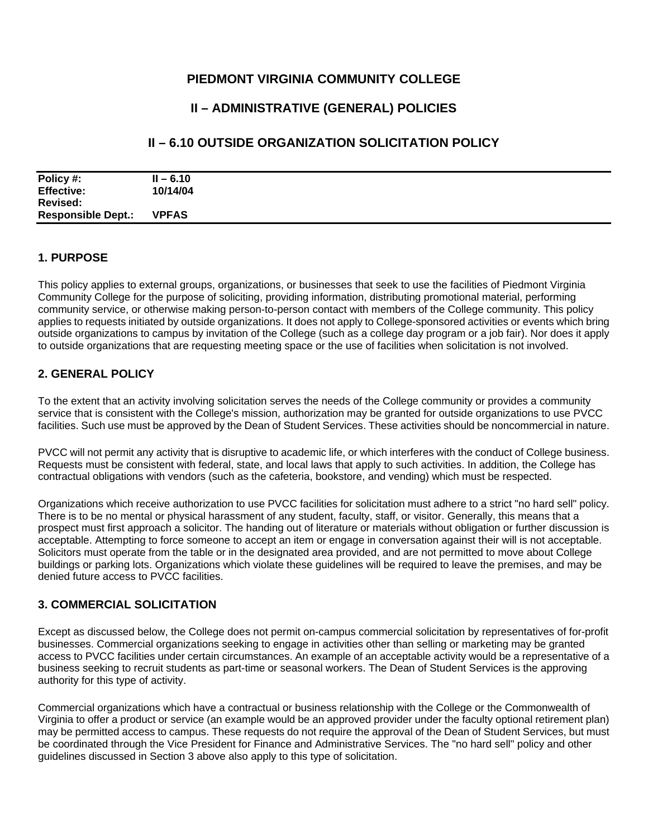## **PIEDMONT VIRGINIA COMMUNITY COLLEGE**

# **II – ADMINISTRATIVE (GENERAL) POLICIES**

# **II – 6.10 OUTSIDE ORGANIZATION SOLICITATION POLICY**

| Policy #:                 | $II - 6.10$  |  |
|---------------------------|--------------|--|
|                           |              |  |
| <b>Effective:</b>         | 10/14/04     |  |
|                           |              |  |
| Revised:                  |              |  |
|                           |              |  |
| <b>Responsible Dept.:</b> | <b>VPFAS</b> |  |
|                           |              |  |

#### **1. PURPOSE**

This policy applies to external groups, organizations, or businesses that seek to use the facilities of Piedmont Virginia Community College for the purpose of soliciting, providing information, distributing promotional material, performing community service, or otherwise making person-to-person contact with members of the College community. This policy applies to requests initiated by outside organizations. It does not apply to College-sponsored activities or events which bring outside organizations to campus by invitation of the College (such as a college day program or a job fair). Nor does it apply to outside organizations that are requesting meeting space or the use of facilities when solicitation is not involved.

### **2. GENERAL POLICY**

To the extent that an activity involving solicitation serves the needs of the College community or provides a community service that is consistent with the College's mission, authorization may be granted for outside organizations to use PVCC

facilities. Such use must be approved by the Dean of Student Services. These activities should be noncommercial in nature.<br>PVCC will not permit any activity that is disruptive to academic life, or which interferes with the Requests must be consistent with federal, state, and local laws that apply to such activities. In addition, the College has contractual obligations with vendors (such as the cafeteria, bookstore, and vending) which must be respected.

Organizations which receive authorization to use PVCC facilities for solicitation must adhere to a strict "no hard sell" policy. There is to be no mental or physical harassment of any student, faculty, staff, or visitor. Generally, this means that a prospect must first approach a solicitor. The handing out of literature or materials without obligation or further discussion is acceptable. Attempting to force someone to accept an item or engage in conversation against their will is not acceptable. Solicitors must operate from the table or in the designated area provided, and are not permitted to move about College buildings or parking lots. Organizations which violate these guidelines will be required to leave the premises, and may be denied future access to PVCC facilities.

#### **3. COMMERCIAL SOLICITATION**

Except as discussed below, the College does not permit on-campus commercial solicitation by representatives of for-profit businesses. Commercial organizations seeking to engage in activities other than selling or marketing may be granted access to PVCC facilities under certain circumstances. An example of an acceptable activity would be a representative of a business seeking to recruit students as part-time or seasonal workers. The Dean of Student Services is the approving authority for this type of activity.

Commercial organizations which have a contractual or business relationship with the College or the Commonwealth of Virginia to offer a product or service (an example would be an approved provider under the faculty optional retirement plan) may be permitted access to campus. These requests do not require the approval of the Dean of Student Services, but must be coordinated through the Vice President for Finance and Administrative Services. The "no hard sell" policy and other guidelines discussed in Section 3 above also apply to this type of solicitation.